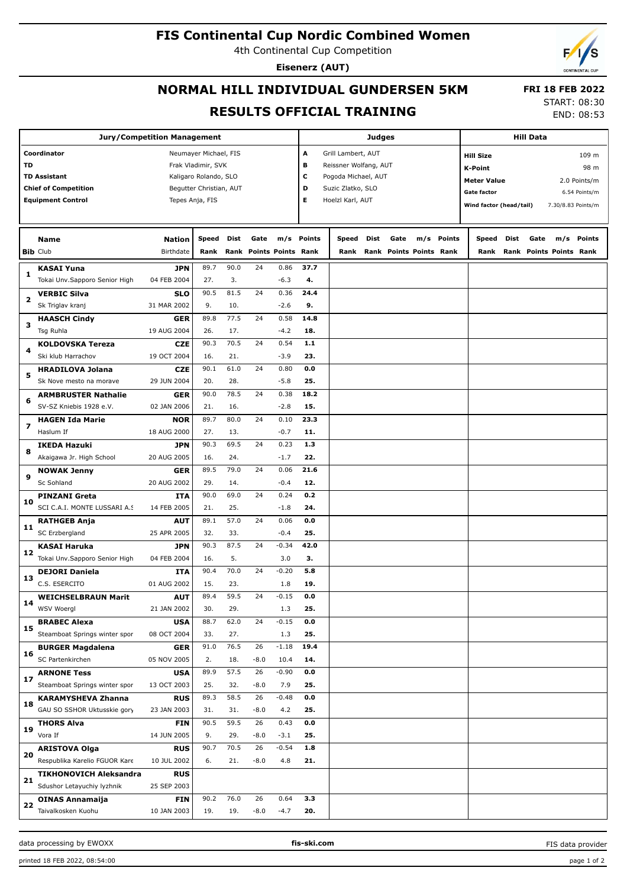## **FIS Continental Cup Nordic Combined Women**

4th Continental Cup Competition

**Eisenerz (AUT)**

## **NORMAL HILL INDIVIDUAL GUNDERSEN 5KM RESULTS OFFICIAL TRAINING**

START: 08:30

 **FRI 18 FEB 2022**

| <b>Jury/Competition Management</b> |                                     |                         |       |             |                         |         | Judges      |                         |      |                                |     |        | Hill Data                          |                           |      |                         |                    |  |
|------------------------------------|-------------------------------------|-------------------------|-------|-------------|-------------------------|---------|-------------|-------------------------|------|--------------------------------|-----|--------|------------------------------------|---------------------------|------|-------------------------|--------------------|--|
|                                    | Coordinator                         | Neumayer Michael, FIS   |       |             |                         |         |             | А<br>Grill Lambert, AUT |      |                                |     |        |                                    | 109 m<br><b>Hill Size</b> |      |                         |                    |  |
| <b>TD</b>                          |                                     | Frak Vladimir, SVK      |       |             |                         |         | в           | Reissner Wolfang, AUT   |      |                                |     |        |                                    | 98 m<br>K-Point           |      |                         |                    |  |
|                                    | <b>TD Assistant</b>                 | Kaligaro Rolando, SLO   |       |             |                         |         | с           | Pogoda Michael, AUT     |      |                                |     |        |                                    |                           |      |                         |                    |  |
|                                    | <b>Chief of Competition</b>         | Begutter Christian, AUT |       |             |                         |         | D           | Suzic Zlatko, SLO       |      |                                |     |        | <b>Meter Value</b><br>2.0 Points/m |                           |      |                         |                    |  |
|                                    | <b>Equipment Control</b>            | Tepes Anja, FIS         |       |             |                         |         | Е           | Hoelzl Karl, AUT        |      |                                |     |        | <b>Gate factor</b>                 |                           |      |                         | 6.54 Points/m      |  |
|                                    |                                     |                         |       |             |                         |         |             |                         |      |                                |     |        | Wind factor (head/tail)            |                           |      |                         | 7.30/8.83 Points/m |  |
|                                    |                                     |                         |       |             |                         |         |             |                         |      |                                |     |        |                                    |                           |      |                         |                    |  |
|                                    | <b>Name</b>                         | <b>Nation</b>           | Speed | Dist        | Gate                    |         | m/s Points  | Speed                   | Dist | Gate                           | m/s | Points | Speed                              | Dist                      | Gate | m/s                     | Points             |  |
|                                    | <b>Bib Club</b>                     | Birthdate               | Rank  |             | Rank Points Points Rank |         |             | Rank                    |      | <b>Rank Points Points Rank</b> |     |        | Rank                               |                           |      | Rank Points Points Rank |                    |  |
|                                    |                                     |                         |       |             |                         |         |             |                         |      |                                |     |        |                                    |                           |      |                         |                    |  |
| 1                                  | <b>KASAI Yuna</b>                   | JPN                     | 89.7  | 90.0        | 24                      | 0.86    | 37.7        |                         |      |                                |     |        |                                    |                           |      |                         |                    |  |
|                                    | Tokai Unv.Sapporo Senior High       | 04 FEB 2004             | 27.   | 3.          |                         | $-6.3$  | 4.          |                         |      |                                |     |        |                                    |                           |      |                         |                    |  |
| 2                                  | <b>VERBIC Silva</b>                 | <b>SLO</b>              | 90.5  | 81.5        | 24                      | 0.36    | 24.4        |                         |      |                                |     |        |                                    |                           |      |                         |                    |  |
|                                    | Sk Triglav kranj                    | 31 MAR 2002             | 9.    | 10.         |                         | $-2.6$  | 9.          |                         |      |                                |     |        |                                    |                           |      |                         |                    |  |
| з                                  | <b>HAASCH Cindy</b>                 | <b>GER</b>              | 89.8  | 77.5        | 24                      | 0.58    | 14.8        |                         |      |                                |     |        |                                    |                           |      |                         |                    |  |
|                                    | Tsg Ruhla                           | 19 AUG 2004             | 26.   | 17.         |                         | $-4.2$  | 18.         |                         |      |                                |     |        |                                    |                           |      |                         |                    |  |
|                                    | <b>KOLDOVSKA Tereza</b>             | <b>CZE</b>              | 90.3  | 70.5        | 24                      | 0.54    | $1.1$       |                         |      |                                |     |        |                                    |                           |      |                         |                    |  |
| 4                                  | Ski klub Harrachov                  | 19 OCT 2004             | 16.   | 21.         |                         | $-3.9$  | 23.         |                         |      |                                |     |        |                                    |                           |      |                         |                    |  |
|                                    | <b>HRADILOVA Jolana</b>             | <b>CZE</b>              | 90.1  | 61.0        | 24                      | 0.80    | 0.0         |                         |      |                                |     |        |                                    |                           |      |                         |                    |  |
| 5                                  | Sk Nove mesto na morave             | 29 JUN 2004             | 20.   | 28.         |                         | $-5.8$  | 25.         |                         |      |                                |     |        |                                    |                           |      |                         |                    |  |
|                                    | <b>ARMBRUSTER Nathalie</b>          | <b>GER</b>              | 90.0  | 78.5        | 24                      | 0.38    | 18.2        |                         |      |                                |     |        |                                    |                           |      |                         |                    |  |
| 6                                  | SV-SZ Kniebis 1928 e.V.             | 02 JAN 2006             | 21.   | 16.         |                         | $-2.8$  | 15.         |                         |      |                                |     |        |                                    |                           |      |                         |                    |  |
| 7<br>8                             |                                     |                         | 89.7  | 80.0        | 24                      | 0.10    | 23.3        |                         |      |                                |     |        |                                    |                           |      |                         |                    |  |
|                                    | <b>HAGEN Ida Marie</b><br>Haslum If | NOR                     |       |             |                         |         |             |                         |      |                                |     |        |                                    |                           |      |                         |                    |  |
|                                    |                                     | 18 AUG 2000             | 27.   | 13.         |                         | $-0.7$  | 11.         |                         |      |                                |     |        |                                    |                           |      |                         |                    |  |
|                                    | <b>IKEDA Hazuki</b>                 | JPN                     | 90.3  | 69.5        | 24                      | 0.23    | 1.3         |                         |      |                                |     |        |                                    |                           |      |                         |                    |  |
|                                    | Akaigawa Jr. High School            | 20 AUG 2005             | 16.   | 24.         |                         | $-1.7$  | 22.         |                         |      |                                |     |        |                                    |                           |      |                         |                    |  |
| 9                                  | <b>NOWAK Jenny</b>                  | <b>GER</b>              | 89.5  | 79.0        | 24                      | 0.06    | 21.6        |                         |      |                                |     |        |                                    |                           |      |                         |                    |  |
|                                    | Sc Sohland                          | 20 AUG 2002             | 29.   | 14.         |                         | $-0.4$  | 12.         |                         |      |                                |     |        |                                    |                           |      |                         |                    |  |
| 10                                 | <b>PINZANI Greta</b>                | <b>ITA</b>              | 90.0  | 69.0        | 24                      | 0.24    | 0.2         |                         |      |                                |     |        |                                    |                           |      |                         |                    |  |
|                                    | SCI C.A.I. MONTE LUSSARI A.S        | 14 FEB 2005             | 21.   | 25.         |                         | $-1.8$  | 24.         |                         |      |                                |     |        |                                    |                           |      |                         |                    |  |
|                                    | <b>RATHGEB Anja</b>                 | <b>AUT</b>              | 89.1  | 57.0        | 24                      | 0.06    | 0.0         |                         |      |                                |     |        |                                    |                           |      |                         |                    |  |
| 11                                 | SC Erzbergland                      | 25 APR 2005             | 32.   | 33.         |                         | $-0.4$  | 25.         |                         |      |                                |     |        |                                    |                           |      |                         |                    |  |
|                                    | <b>KASAI Haruka</b>                 | JPN                     | 90.3  | 87.5        | 24                      | $-0.34$ | 42.0        |                         |      |                                |     |        |                                    |                           |      |                         |                    |  |
| 12                                 | Tokai Unv.Sapporo Senior High       | 04 FEB 2004             | 16.   | 5.          |                         | 3.0     | з.          |                         |      |                                |     |        |                                    |                           |      |                         |                    |  |
|                                    | <b>DEJORI Daniela</b>               | <b>ITA</b>              | 90.4  | 70.0        | 24                      | $-0.20$ | 5.8         |                         |      |                                |     |        |                                    |                           |      |                         |                    |  |
| 13                                 | C.S. ESERCITO                       | 01 AUG 2002             | 15.   | 23.         |                         | 1.8     | 19.         |                         |      |                                |     |        |                                    |                           |      |                         |                    |  |
|                                    | <b>WEICHSELBRAUN Marit</b>          | <b>AUT</b>              | 89.4  | 59.5        | 24                      | $-0.15$ | 0.0         |                         |      |                                |     |        |                                    |                           |      |                         |                    |  |
| 14                                 | WSV Woergl                          | 21 JAN 2002             | 30.   | 29.         |                         | 1.3     | 25.         |                         |      |                                |     |        |                                    |                           |      |                         |                    |  |
|                                    | <b>BRABEC Alexa</b>                 | <b>USA</b>              | 88.7  | 62.0        | 24                      | $-0.15$ | 0.0         |                         |      |                                |     |        |                                    |                           |      |                         |                    |  |
| 15                                 |                                     |                         |       |             |                         |         |             |                         |      |                                |     |        |                                    |                           |      |                         |                    |  |
|                                    | Steamboat Springs winter spor       | 08 OCT 2004             | 33.   | 27.<br>76.5 | 26                      | 1.3     | 25.<br>19.4 |                         |      |                                |     |        |                                    |                           |      |                         |                    |  |
| 16                                 | <b>BURGER Magdalena</b>             | <b>GER</b>              | 91.0  |             |                         | $-1.18$ |             |                         |      |                                |     |        |                                    |                           |      |                         |                    |  |
|                                    | SC Partenkirchen                    | 05 NOV 2005             | 2.    | 18.         | $-8.0$                  | 10.4    | 14.         |                         |      |                                |     |        |                                    |                           |      |                         |                    |  |
| 17                                 | <b>ARNONE Tess</b>                  | <b>USA</b>              | 89.9  | 57.5        | 26                      | $-0.90$ | 0.0         |                         |      |                                |     |        |                                    |                           |      |                         |                    |  |
|                                    | Steamboat Springs winter spor       | 13 OCT 2003             | 25.   | 32.         | $-8.0$                  | 7.9     | 25.         |                         |      |                                |     |        |                                    |                           |      |                         |                    |  |
| 18                                 | <b>KARAMYSHEVA Zhanna</b>           | <b>RUS</b>              | 89.3  | 58.5        | 26                      | $-0.48$ | 0.0         |                         |      |                                |     |        |                                    |                           |      |                         |                    |  |
|                                    | GAU SO SSHOR Uktusskie gory         | 23 JAN 2003             | 31.   | 31.         | $-8.0$                  | 4.2     | 25.         |                         |      |                                |     |        |                                    |                           |      |                         |                    |  |
| 19                                 | <b>THORS Alva</b>                   | <b>FIN</b>              | 90.5  | 59.5        | 26                      | 0.43    | 0.0         |                         |      |                                |     |        |                                    |                           |      |                         |                    |  |
|                                    | Vora If                             | 14 JUN 2005             | 9.    | 29.         | $-8.0$                  | $-3.1$  | 25.         |                         |      |                                |     |        |                                    |                           |      |                         |                    |  |
|                                    | <b>ARISTOVA Olga</b>                | <b>RUS</b>              | 90.7  | 70.5        | 26                      | $-0.54$ | 1.8         |                         |      |                                |     |        |                                    |                           |      |                         |                    |  |
| 20                                 | Respublika Karelio FGUOR Kare       | 10 JUL 2002             | 6.    | 21.         | $-8.0$                  | 4.8     | 21.         |                         |      |                                |     |        |                                    |                           |      |                         |                    |  |
|                                    | <b>TIKHONOVICH Aleksandra</b>       | <b>RUS</b>              |       |             |                         |         |             |                         |      |                                |     |        |                                    |                           |      |                         |                    |  |
| 21                                 | Sdushor Letayuchiy lyzhnik          | 25 SEP 2003             |       |             |                         |         |             |                         |      |                                |     |        |                                    |                           |      |                         |                    |  |
|                                    | <b>OINAS Annamaija</b>              | <b>FIN</b>              | 90.2  | 76.0        | 26                      | 0.64    | 3.3         |                         |      |                                |     |        |                                    |                           |      |                         |                    |  |
| 22                                 | Taivalkosken Kuohu                  | 10 JAN 2003             | 19.   | 19.         | $-8.0$                  | $-4.7$  | 20.         |                         |      |                                |     |        |                                    |                           |      |                         |                    |  |

data processing by EWOXX **fis-ski.com**

FIS data provider